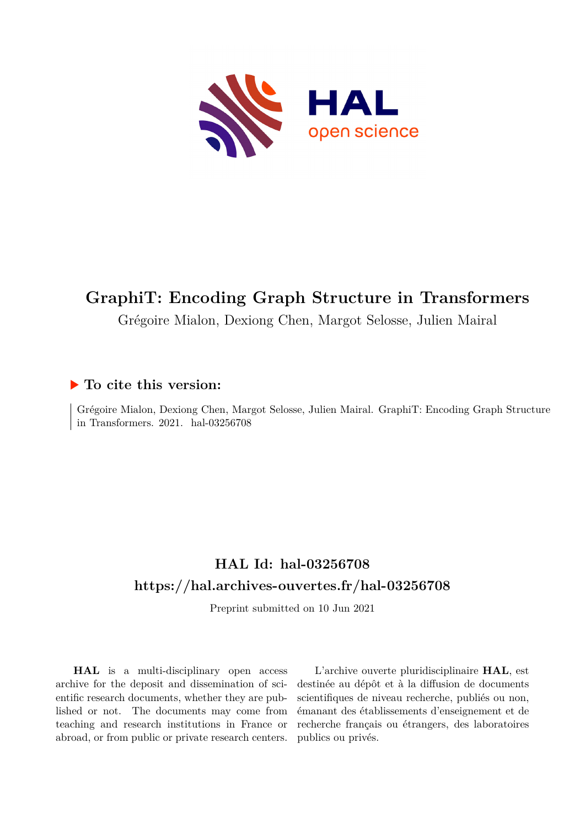

# **GraphiT: Encoding Graph Structure in Transformers**

Grégoire Mialon, Dexiong Chen, Margot Selosse, Julien Mairal

# **To cite this version:**

Grégoire Mialon, Dexiong Chen, Margot Selosse, Julien Mairal. GraphiT: Encoding Graph Structure in Transformers.  $2021.$  hal- $03256708$ 

# **HAL Id: hal-03256708 <https://hal.archives-ouvertes.fr/hal-03256708>**

Preprint submitted on 10 Jun 2021

**HAL** is a multi-disciplinary open access archive for the deposit and dissemination of scientific research documents, whether they are published or not. The documents may come from teaching and research institutions in France or abroad, or from public or private research centers.

L'archive ouverte pluridisciplinaire **HAL**, est destinée au dépôt et à la diffusion de documents scientifiques de niveau recherche, publiés ou non, émanant des établissements d'enseignement et de recherche français ou étrangers, des laboratoires publics ou privés.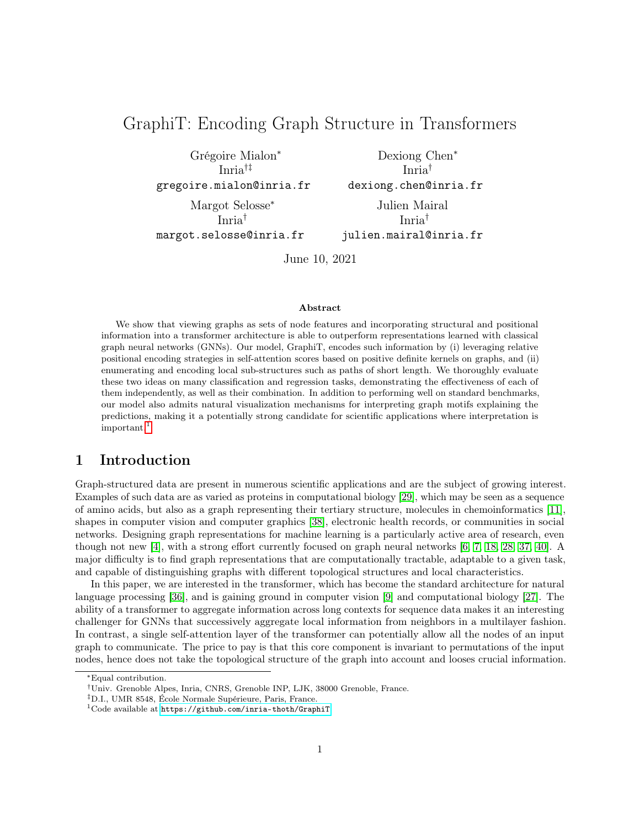# GraphiT: Encoding Graph Structure in Transformers

Grégoire Mialon<sup>∗</sup> Inria†‡ gregoire.mialon@inria.fr

Margot Selosse<sup>∗</sup> Inria† margot.selosse@inria.fr

Dexiong Chen<sup>∗</sup> Inria† dexiong.chen@inria.fr Julien Mairal

Inria† julien.mairal@inria.fr

June 10, 2021

#### Abstract

We show that viewing graphs as sets of node features and incorporating structural and positional information into a transformer architecture is able to outperform representations learned with classical graph neural networks (GNNs). Our model, GraphiT, encodes such information by (i) leveraging relative positional encoding strategies in self-attention scores based on positive definite kernels on graphs, and (ii) enumerating and encoding local sub-structures such as paths of short length. We thoroughly evaluate these two ideas on many classification and regression tasks, demonstrating the effectiveness of each of them independently, as well as their combination. In addition to performing well on standard benchmarks, our model also admits natural visualization mechanisms for interpreting graph motifs explaining the predictions, making it a potentially strong candidate for scientific applications where interpretation is important.<sup>1</sup>

# 1 Introduction

Graph-structured data are present in numerous scientific applications and are the subject of growing interest. Examples of such data are as varied as proteins in computational biology [29], which may be seen as a sequence of amino acids, but also as a graph representing their tertiary structure, molecules in chemoinformatics [11], shapes in computer vision and computer graphics [38], electronic health records, or communities in social networks. Designing graph representations for machine learning is a particularly active area of research, even though not new [4], with a strong effort currently focused on graph neural networks [6, 7, 18, 28, 37, 40]. A major difficulty is to find graph representations that are computationally tractable, adaptable to a given task, and capable of distinguishing graphs with different topological structures and local characteristics.

In this paper, we are interested in the transformer, which has become the standard architecture for natural language processing [36], and is gaining ground in computer vision [9] and computational biology [27]. The ability of a transformer to aggregate information across long contexts for sequence data makes it an interesting challenger for GNNs that successively aggregate local information from neighbors in a multilayer fashion. In contrast, a single self-attention layer of the transformer can potentially allow all the nodes of an input graph to communicate. The price to pay is that this core component is invariant to permutations of the input nodes, hence does not take the topological structure of the graph into account and looses crucial information.

<sup>∗</sup>Equal contribution.

<sup>†</sup>Univ. Grenoble Alpes, Inria, CNRS, Grenoble INP, LJK, 38000 Grenoble, France.

<sup>‡</sup>D.I., UMR 8548, École Normale Supérieure, Paris, France.

 $1$ Code available at <https://github.com/inria-thoth/GraphiT>.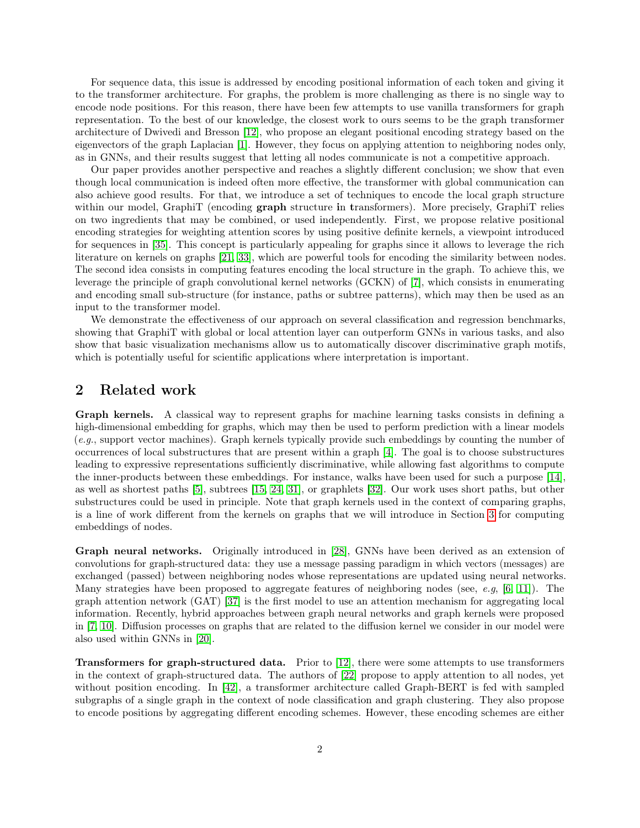For sequence data, this issue is addressed by encoding positional information of each token and giving it to the transformer architecture. For graphs, the problem is more challenging as there is no single way to encode node positions. For this reason, there have been few attempts to use vanilla transformers for graph representation. To the best of our knowledge, the closest work to ours seems to be the graph transformer architecture of Dwivedi and Bresson [12], who propose an elegant positional encoding strategy based on the eigenvectors of the graph Laplacian [1]. However, they focus on applying attention to neighboring nodes only, as in GNNs, and their results suggest that letting all nodes communicate is not a competitive approach.

Our paper provides another perspective and reaches a slightly different conclusion; we show that even though local communication is indeed often more effective, the transformer with global communication can also achieve good results. For that, we introduce a set of techniques to encode the local graph structure within our model, GraphiT (encoding **graph** structure in transformers). More precisely, GraphiT relies on two ingredients that may be combined, or used independently. First, we propose relative positional encoding strategies for weighting attention scores by using positive definite kernels, a viewpoint introduced for sequences in [35]. This concept is particularly appealing for graphs since it allows to leverage the rich literature on kernels on graphs [21, 33], which are powerful tools for encoding the similarity between nodes. The second idea consists in computing features encoding the local structure in the graph. To achieve this, we leverage the principle of graph convolutional kernel networks (GCKN) of [7], which consists in enumerating and encoding small sub-structure (for instance, paths or subtree patterns), which may then be used as an input to the transformer model.

We demonstrate the effectiveness of our approach on several classification and regression benchmarks, showing that GraphiT with global or local attention layer can outperform GNNs in various tasks, and also show that basic visualization mechanisms allow us to automatically discover discriminative graph motifs, which is potentially useful for scientific applications where interpretation is important.

# 2 Related work

Graph kernels. A classical way to represent graphs for machine learning tasks consists in defining a high-dimensional embedding for graphs, which may then be used to perform prediction with a linear models (e.g., support vector machines). Graph kernels typically provide such embeddings by counting the number of occurrences of local substructures that are present within a graph [4]. The goal is to choose substructures leading to expressive representations sufficiently discriminative, while allowing fast algorithms to compute the inner-products between these embeddings. For instance, walks have been used for such a purpose [14], as well as shortest paths [5], subtrees [15, 24, 31], or graphlets [32]. Our work uses short paths, but other substructures could be used in principle. Note that graph kernels used in the context of comparing graphs, is a line of work different from the kernels on graphs that we will introduce in Section 3 for computing embeddings of nodes.

Graph neural networks. Originally introduced in [28], GNNs have been derived as an extension of convolutions for graph-structured data: they use a message passing paradigm in which vectors (messages) are exchanged (passed) between neighboring nodes whose representations are updated using neural networks. Many strategies have been proposed to aggregate features of neighboring nodes (see, e.g,  $[6, 11]$ ). The graph attention network (GAT) [37] is the first model to use an attention mechanism for aggregating local information. Recently, hybrid approaches between graph neural networks and graph kernels were proposed in [7, 10]. Diffusion processes on graphs that are related to the diffusion kernel we consider in our model were also used within GNNs in [20].

Transformers for graph-structured data. Prior to [12], there were some attempts to use transformers in the context of graph-structured data. The authors of [22] propose to apply attention to all nodes, yet without position encoding. In [42], a transformer architecture called Graph-BERT is fed with sampled subgraphs of a single graph in the context of node classification and graph clustering. They also propose to encode positions by aggregating different encoding schemes. However, these encoding schemes are either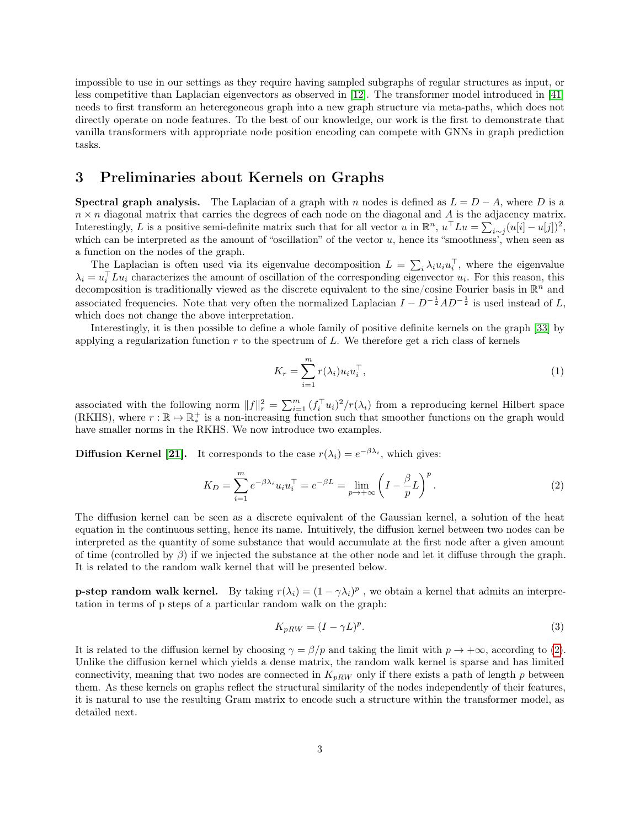impossible to use in our settings as they require having sampled subgraphs of regular structures as input, or less competitive than Laplacian eigenvectors as observed in [12]. The transformer model introduced in [41] needs to first transform an heteregoneous graph into a new graph structure via meta-paths, which does not directly operate on node features. To the best of our knowledge, our work is the first to demonstrate that vanilla transformers with appropriate node position encoding can compete with GNNs in graph prediction tasks.

# 3 Preliminaries about Kernels on Graphs

**Spectral graph analysis.** The Laplacian of a graph with n nodes is defined as  $L = D - A$ , where D is a  $n \times n$  diagonal matrix that carries the degrees of each node on the diagonal and A is the adjacency matrix. Interestingly, L is a positive semi-definite matrix such that for all vector u in  $\mathbb{R}^n$ ,  $u^{\top}Lu = \sum_{i \sim j} (u[i] - u[j])^2$ , which can be interpreted as the amount of "oscillation" of the vector u, hence its "smoothness', when seen as a function on the nodes of the graph.

The Laplacian is often used via its eigenvalue decomposition  $L = \sum_i \lambda_i u_i u_i^{\top}$ , where the eigenvalue  $\lambda_i = u_i^{\top} L u_i$  characterizes the amount of oscillation of the corresponding eigenvector  $u_i$ . For this reason, this decomposition is traditionally viewed as the discrete equivalent to the sine/cosine Fourier basis in  $\mathbb{R}^n$  and associated frequencies. Note that very often the normalized Laplacian  $I - D^{-\frac{1}{2}}AD^{-\frac{1}{2}}$  is used instead of L, which does not change the above interpretation.

Interestingly, it is then possible to define a whole family of positive definite kernels on the graph [33] by applying a regularization function  $r$  to the spectrum of  $L$ . We therefore get a rich class of kernels

$$
K_r = \sum_{i=1}^{m} r(\lambda_i) u_i u_i^{\top}, \qquad (1)
$$

associated with the following norm  $||f||_r^2 = \sum_{i=1}^m (f_i^{\top} u_i)^2 / r(\lambda_i)$  from a reproducing kernel Hilbert space (RKHS), where  $r : \mathbb{R} \to \mathbb{R}_*^+$  is a non-increasing function such that smoother functions on the graph would have smaller norms in the RKHS. We now introduce two examples.

**Diffusion Kernel [21].** It corresponds to the case  $r(\lambda_i) = e^{-\beta \lambda_i}$ , which gives:

$$
K_D = \sum_{i=1}^m e^{-\beta \lambda_i} u_i u_i^\top = e^{-\beta L} = \lim_{p \to +\infty} \left( I - \frac{\beta}{p} L \right)^p.
$$
 (2)

The diffusion kernel can be seen as a discrete equivalent of the Gaussian kernel, a solution of the heat equation in the continuous setting, hence its name. Intuitively, the diffusion kernel between two nodes can be interpreted as the quantity of some substance that would accumulate at the first node after a given amount of time (controlled by  $\beta$ ) if we injected the substance at the other node and let it diffuse through the graph. It is related to the random walk kernel that will be presented below.

**p-step random walk kernel.** By taking  $r(\lambda_i) = (1 - \gamma \lambda_i)^p$ , we obtain a kernel that admits an interpretation in terms of p steps of a particular random walk on the graph:

$$
K_{pRW} = (I - \gamma L)^p. \tag{3}
$$

It is related to the diffusion kernel by choosing  $\gamma = \beta/p$  and taking the limit with  $p \to +\infty$ , according to (2). Unlike the diffusion kernel which yields a dense matrix, the random walk kernel is sparse and has limited connectivity, meaning that two nodes are connected in  $K_{pRW}$  only if there exists a path of length p between them. As these kernels on graphs reflect the structural similarity of the nodes independently of their features, it is natural to use the resulting Gram matrix to encode such a structure within the transformer model, as detailed next.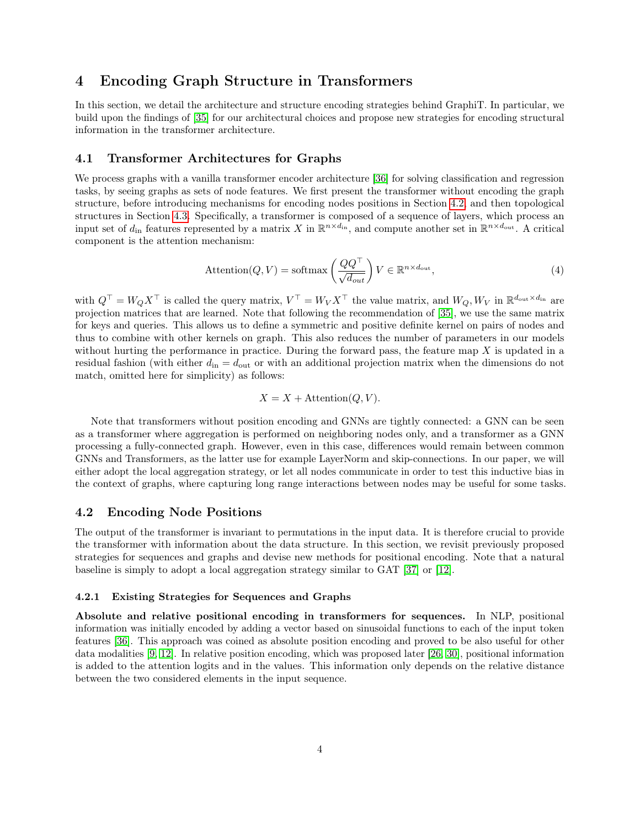# 4 Encoding Graph Structure in Transformers

In this section, we detail the architecture and structure encoding strategies behind GraphiT. In particular, we build upon the findings of [35] for our architectural choices and propose new strategies for encoding structural information in the transformer architecture.

#### 4.1 Transformer Architectures for Graphs

We process graphs with a vanilla transformer encoder architecture [36] for solving classification and regression tasks, by seeing graphs as sets of node features. We first present the transformer without encoding the graph structure, before introducing mechanisms for encoding nodes positions in Section 4.2, and then topological structures in Section 4.3. Specifically, a transformer is composed of a sequence of layers, which process an input set of  $d_{\text{in}}$  features represented by a matrix X in  $\mathbb{R}^{n \times d_{\text{in}}},$  and compute another set in  $\mathbb{R}^{n \times d_{\text{out}}}$ . A critical component is the attention mechanism:

$$
Attention(Q, V) = softmax\left(\frac{QQ^{\top}}{\sqrt{d_{out}}}\right) V \in \mathbb{R}^{n \times d_{out}},\tag{4}
$$

with  $Q^{\top} = W_Q X^{\top}$  is called the query matrix,  $V^{\top} = W_V X^{\top}$  the value matrix, and  $W_Q, W_V$  in  $\mathbb{R}^{d_{\text{out}} \times d_{\text{in}}}$  are projection matrices that are learned. Note that following the recommendation of [35], we use the same matrix for keys and queries. This allows us to define a symmetric and positive definite kernel on pairs of nodes and thus to combine with other kernels on graph. This also reduces the number of parameters in our models without hurting the performance in practice. During the forward pass, the feature map  $X$  is updated in a residual fashion (with either  $d_{\rm in} = d_{\rm out}$  or with an additional projection matrix when the dimensions do not match, omitted here for simplicity) as follows:

$$
X = X + \text{Attention}(Q, V).
$$

Note that transformers without position encoding and GNNs are tightly connected: a GNN can be seen as a transformer where aggregation is performed on neighboring nodes only, and a transformer as a GNN processing a fully-connected graph. However, even in this case, differences would remain between common GNNs and Transformers, as the latter use for example LayerNorm and skip-connections. In our paper, we will either adopt the local aggregation strategy, or let all nodes communicate in order to test this inductive bias in the context of graphs, where capturing long range interactions between nodes may be useful for some tasks.

#### 4.2 Encoding Node Positions

The output of the transformer is invariant to permutations in the input data. It is therefore crucial to provide the transformer with information about the data structure. In this section, we revisit previously proposed strategies for sequences and graphs and devise new methods for positional encoding. Note that a natural baseline is simply to adopt a local aggregation strategy similar to GAT [37] or [12].

#### 4.2.1 Existing Strategies for Sequences and Graphs

Absolute and relative positional encoding in transformers for sequences. In NLP, positional information was initially encoded by adding a vector based on sinusoidal functions to each of the input token features [36]. This approach was coined as absolute position encoding and proved to be also useful for other data modalities [9, 12]. In relative position encoding, which was proposed later [26, 30], positional information is added to the attention logits and in the values. This information only depends on the relative distance between the two considered elements in the input sequence.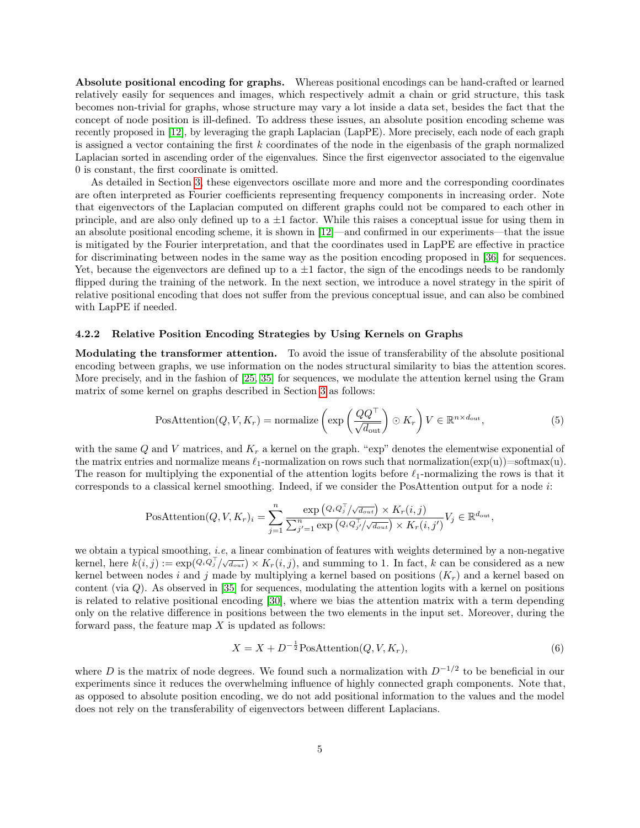Absolute positional encoding for graphs. Whereas positional encodings can be hand-crafted or learned relatively easily for sequences and images, which respectively admit a chain or grid structure, this task becomes non-trivial for graphs, whose structure may vary a lot inside a data set, besides the fact that the concept of node position is ill-defined. To address these issues, an absolute position encoding scheme was recently proposed in [12], by leveraging the graph Laplacian (LapPE). More precisely, each node of each graph is assigned a vector containing the first  $k$  coordinates of the node in the eigenbasis of the graph normalized Laplacian sorted in ascending order of the eigenvalues. Since the first eigenvector associated to the eigenvalue 0 is constant, the first coordinate is omitted.

As detailed in Section 3, these eigenvectors oscillate more and more and the corresponding coordinates are often interpreted as Fourier coefficients representing frequency components in increasing order. Note that eigenvectors of the Laplacian computed on different graphs could not be compared to each other in principle, and are also only defined up to a  $\pm 1$  factor. While this raises a conceptual issue for using them in an absolute positional encoding scheme, it is shown in [12]—and confirmed in our experiments—that the issue is mitigated by the Fourier interpretation, and that the coordinates used in LapPE are effective in practice for discriminating between nodes in the same way as the position encoding proposed in [36] for sequences. Yet, because the eigenvectors are defined up to a  $\pm 1$  factor, the sign of the encodings needs to be randomly flipped during the training of the network. In the next section, we introduce a novel strategy in the spirit of relative positional encoding that does not suffer from the previous conceptual issue, and can also be combined with LapPE if needed.

#### 4.2.2 Relative Position Encoding Strategies by Using Kernels on Graphs

Modulating the transformer attention. To avoid the issue of transferability of the absolute positional encoding between graphs, we use information on the nodes structural similarity to bias the attention scores. More precisely, and in the fashion of [25, 35] for sequences, we modulate the attention kernel using the Gram matrix of some kernel on graphs described in Section 3 as follows:

$$
\text{PosAttention}(Q, V, K_r) = \text{normalize}\left(\exp\left(\frac{QQ^{\top}}{\sqrt{d_{\text{out}}}}\right) \odot K_r\right) V \in \mathbb{R}^{n \times d_{\text{out}}},\tag{5}
$$

with the same Q and V matrices, and  $K_r$  a kernel on the graph. "exp" denotes the elementwise exponential of the matrix entries and normalize means  $\ell_1$ -normalization on rows such that normalization(exp(u))=softmax(u). The reason for multiplying the exponential of the attention logits before  $\ell_1$ -normalizing the rows is that it corresponds to a classical kernel smoothing. Indeed, if we consider the PosAttention output for a node i:

PosAttention
$$
(Q, V, K_r)_i = \sum_{j=1}^n \frac{\exp (Q_i Q_j^\top / \sqrt{d_{out}}) \times K_r(i, j)}{\sum_{j'=1}^n \exp (Q_i Q_{j'}^\top / \sqrt{d_{out}}) \times K_r(i, j')} V_j \in \mathbb{R}^{d_{out}},
$$

we obtain a typical smoothing, *i.e.* a linear combination of features with weights determined by a non-negative kernel, here  $k(i, j) := \exp(\widetilde{Q_i Q_j^{\top}/\sqrt{d_{out}}}) \times K_r(i, j)$ , and summing to 1. In fact, k can be considered as a new kernel between nodes i and j made by multiplying a kernel based on positions  $(K_r)$  and a kernel based on content (via  $Q$ ). As observed in [35] for sequences, modulating the attention logits with a kernel on positions is related to relative positional encoding [30], where we bias the attention matrix with a term depending only on the relative difference in positions between the two elements in the input set. Moreover, during the forward pass, the feature map  $X$  is updated as follows:

$$
X = X + D^{-\frac{1}{2}} \text{PosAttention}(Q, V, K_r),\tag{6}
$$

where D is the matrix of node degrees. We found such a normalization with  $D^{-1/2}$  to be beneficial in our experiments since it reduces the overwhelming influence of highly connected graph components. Note that, as opposed to absolute position encoding, we do not add positional information to the values and the model does not rely on the transferability of eigenvectors between different Laplacians.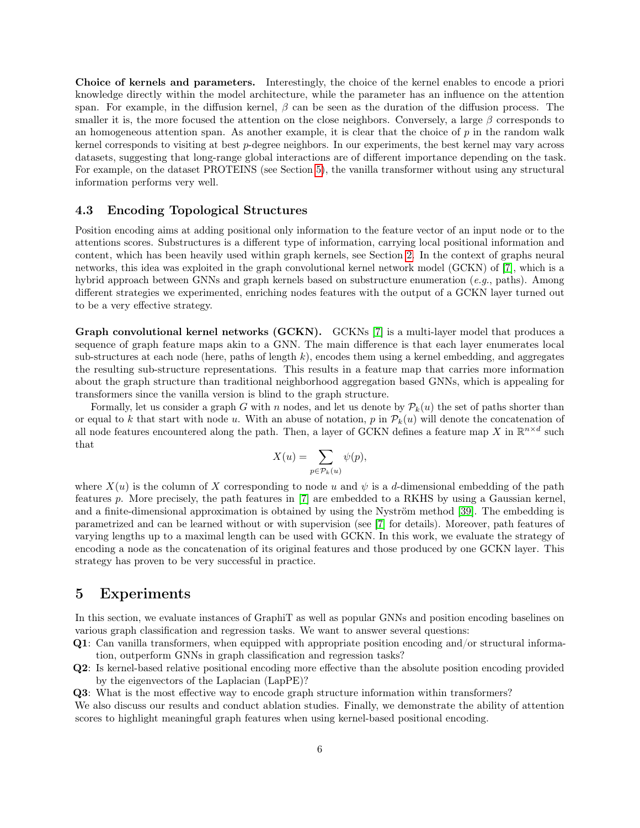Choice of kernels and parameters. Interestingly, the choice of the kernel enables to encode a priori knowledge directly within the model architecture, while the parameter has an influence on the attention span. For example, in the diffusion kernel,  $\beta$  can be seen as the duration of the diffusion process. The smaller it is, the more focused the attention on the close neighbors. Conversely, a large  $\beta$  corresponds to an homogeneous attention span. As another example, it is clear that the choice of  $p$  in the random walk kernel corresponds to visiting at best p-degree neighbors. In our experiments, the best kernel may vary across datasets, suggesting that long-range global interactions are of different importance depending on the task. For example, on the dataset PROTEINS (see Section 5), the vanilla transformer without using any structural information performs very well.

#### 4.3 Encoding Topological Structures

Position encoding aims at adding positional only information to the feature vector of an input node or to the attentions scores. Substructures is a different type of information, carrying local positional information and content, which has been heavily used within graph kernels, see Section 2. In the context of graphs neural networks, this idea was exploited in the graph convolutional kernel network model (GCKN) of [7], which is a hybrid approach between GNNs and graph kernels based on substructure enumeration (e.g., paths). Among different strategies we experimented, enriching nodes features with the output of a GCKN layer turned out to be a very effective strategy.

Graph convolutional kernel networks (GCKN). GCKNs [7] is a multi-layer model that produces a sequence of graph feature maps akin to a GNN. The main difference is that each layer enumerates local sub-structures at each node (here, paths of length  $k$ ), encodes them using a kernel embedding, and aggregates the resulting sub-structure representations. This results in a feature map that carries more information about the graph structure than traditional neighborhood aggregation based GNNs, which is appealing for transformers since the vanilla version is blind to the graph structure.

Formally, let us consider a graph G with n nodes, and let us denote by  $\mathcal{P}_k(u)$  the set of paths shorter than or equal to k that start with node u. With an abuse of notation, p in  $\mathcal{P}_k(u)$  will denote the concatenation of all node features encountered along the path. Then, a layer of GCKN defines a feature map X in  $\mathbb{R}^{n \times d}$  such that

$$
X(u) = \sum_{p \in \mathcal{P}_k(u)} \psi(p),
$$

where  $X(u)$  is the column of X corresponding to node u and  $\psi$  is a d-dimensional embedding of the path features p. More precisely, the path features in [7] are embedded to a RKHS by using a Gaussian kernel, and a finite-dimensional approximation is obtained by using the Nyström method [39]. The embedding is parametrized and can be learned without or with supervision (see [7] for details). Moreover, path features of varying lengths up to a maximal length can be used with GCKN. In this work, we evaluate the strategy of encoding a node as the concatenation of its original features and those produced by one GCKN layer. This strategy has proven to be very successful in practice.

## 5 Experiments

In this section, we evaluate instances of GraphiT as well as popular GNNs and position encoding baselines on various graph classification and regression tasks. We want to answer several questions:

- Q1: Can vanilla transformers, when equipped with appropriate position encoding and/or structural information, outperform GNNs in graph classification and regression tasks?
- Q2: Is kernel-based relative positional encoding more effective than the absolute position encoding provided by the eigenvectors of the Laplacian (LapPE)?

Q3: What is the most effective way to encode graph structure information within transformers?

We also discuss our results and conduct ablation studies. Finally, we demonstrate the ability of attention scores to highlight meaningful graph features when using kernel-based positional encoding.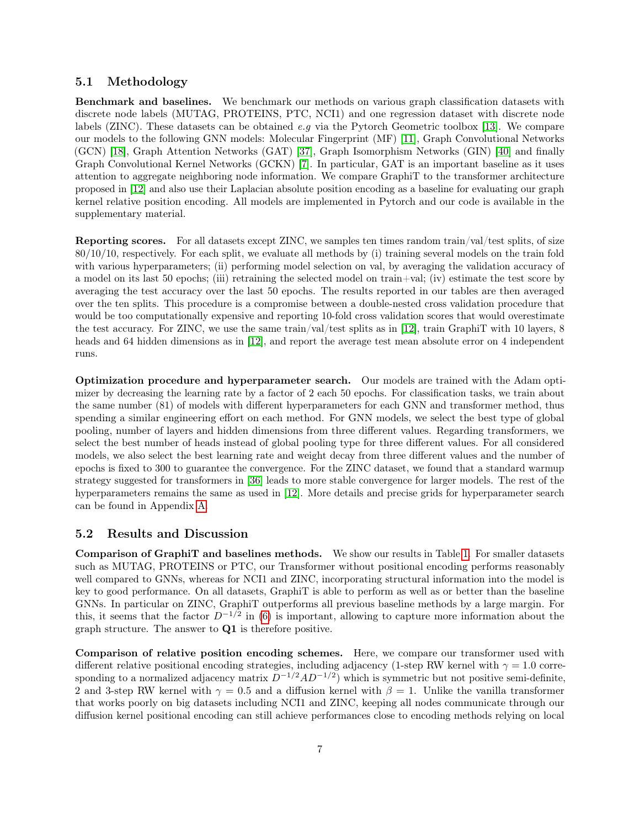#### 5.1 Methodology

Benchmark and baselines. We benchmark our methods on various graph classification datasets with discrete node labels (MUTAG, PROTEINS, PTC, NCI1) and one regression dataset with discrete node labels (ZINC). These datasets can be obtained e.g via the Pytorch Geometric toolbox [13]. We compare our models to the following GNN models: Molecular Fingerprint (MF) [11], Graph Convolutional Networks (GCN) [18], Graph Attention Networks (GAT) [37], Graph Isomorphism Networks (GIN) [40] and finally Graph Convolutional Kernel Networks (GCKN) [7]. In particular, GAT is an important baseline as it uses attention to aggregate neighboring node information. We compare GraphiT to the transformer architecture proposed in [12] and also use their Laplacian absolute position encoding as a baseline for evaluating our graph kernel relative position encoding. All models are implemented in Pytorch and our code is available in the supplementary material.

Reporting scores. For all datasets except ZINC, we samples ten times random train/val/test splits, of size 80/10/10, respectively. For each split, we evaluate all methods by (i) training several models on the train fold with various hyperparameters; (ii) performing model selection on val, by averaging the validation accuracy of a model on its last 50 epochs; (iii) retraining the selected model on train+val; (iv) estimate the test score by averaging the test accuracy over the last 50 epochs. The results reported in our tables are then averaged over the ten splits. This procedure is a compromise between a double-nested cross validation procedure that would be too computationally expensive and reporting 10-fold cross validation scores that would overestimate the test accuracy. For ZINC, we use the same train/val/test splits as in [12], train GraphiT with 10 layers, 8 heads and 64 hidden dimensions as in [12], and report the average test mean absolute error on 4 independent runs.

Optimization procedure and hyperparameter search. Our models are trained with the Adam optimizer by decreasing the learning rate by a factor of 2 each 50 epochs. For classification tasks, we train about the same number (81) of models with different hyperparameters for each GNN and transformer method, thus spending a similar engineering effort on each method. For GNN models, we select the best type of global pooling, number of layers and hidden dimensions from three different values. Regarding transformers, we select the best number of heads instead of global pooling type for three different values. For all considered models, we also select the best learning rate and weight decay from three different values and the number of epochs is fixed to 300 to guarantee the convergence. For the ZINC dataset, we found that a standard warmup strategy suggested for transformers in [36] leads to more stable convergence for larger models. The rest of the hyperparameters remains the same as used in [12]. More details and precise grids for hyperparameter search can be found in Appendix A.

#### 5.2 Results and Discussion

Comparison of GraphiT and baselines methods. We show our results in Table 1. For smaller datasets such as MUTAG, PROTEINS or PTC, our Transformer without positional encoding performs reasonably well compared to GNNs, whereas for NCI1 and ZINC, incorporating structural information into the model is key to good performance. On all datasets, GraphiT is able to perform as well as or better than the baseline GNNs. In particular on ZINC, GraphiT outperforms all previous baseline methods by a large margin. For this, it seems that the factor  $D^{-1/2}$  in (6) is important, allowing to capture more information about the graph structure. The answer to Q1 is therefore positive.

Comparison of relative position encoding schemes. Here, we compare our transformer used with different relative positional encoding strategies, including adjacency (1-step RW kernel with  $\gamma = 1.0$  corresponding to a normalized adjacency matrix  $D^{-1/2}AD^{-1/2}$  which is symmetric but not positive semi-definite, 2 and 3-step RW kernel with  $\gamma = 0.5$  and a diffusion kernel with  $\beta = 1$ . Unlike the vanilla transformer that works poorly on big datasets including NCI1 and ZINC, keeping all nodes communicate through our diffusion kernel positional encoding can still achieve performances close to encoding methods relying on local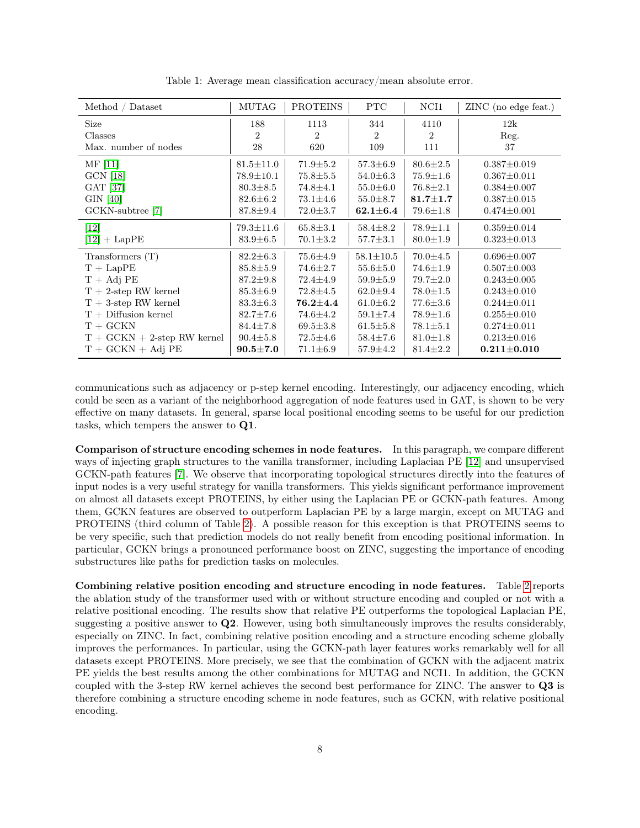| Method / Dataset               | <b>MUTAG</b>    | <b>PROTEINS</b> | <b>PTC</b>      | NCI1           | ZINC (no edge feat.) |
|--------------------------------|-----------------|-----------------|-----------------|----------------|----------------------|
| Size                           | 188             | 1113            | 344             | 4110           | 12k                  |
| Classes                        | 2               | 2               | $\overline{2}$  | $\overline{2}$ | Reg.                 |
| Max. number of nodes           | 28              | 620             | 109             | 111            | 37                   |
| $\text{MF}$ [11]               | $81.5 \pm 11.0$ | $71.9 \pm 5.2$  | $57.3 \pm 6.9$  | $80.6 \pm 2.5$ | $0.387 \pm 0.019$    |
| GCN [18]                       | $78.9 \pm 10.1$ | $75.8 \pm 5.5$  | $54.0 \pm 6.3$  | $75.9 \pm 1.6$ | $0.367 \pm 0.011$    |
| GAT [37]                       | $80.3 \pm 8.5$  | $74.8 \pm 4.1$  | $55.0 \pm 6.0$  | $76.8 \pm 2.1$ | $0.384 \pm 0.007$    |
| GIN [40]                       | $82.6 \pm 6.2$  | $73.1 \pm 4.6$  | $55.0 \pm 8.7$  | $81.7 \pm 1.7$ | $0.387 \pm 0.015$    |
| GCKN-subtree [7]               | $87.8 \pm 9.4$  | $72.0 \pm 3.7$  | $62.1{\pm}6.4$  | $79.6 \pm 1.8$ | $0.474 \pm 0.001$    |
| $[12]$                         | $79.3 \pm 11.6$ | $65.8 \pm 3.1$  | $58.4 \pm 8.2$  | $78.9 \pm 1.1$ | $0.359 \pm 0.014$    |
| $[12] + \text{LapPE}$          | $83.9 \pm 6.5$  | $70.1 \pm 3.2$  | $57.7 \pm 3.1$  | $80.0 \pm 1.9$ | $0.323 \pm 0.013$    |
| Transformers (T)               | $82.2 \pm 6.3$  | $75.6{\pm}4.9$  | $58.1 \pm 10.5$ | $70.0 \pm 4.5$ | $0.696 \pm 0.007$    |
| $T + \text{LapPE}$             | $85.8 \pm 5.9$  | $74.6 \pm 2.7$  | $55.6 \pm 5.0$  | $74.6 \pm 1.9$ | $0.507 \pm 0.003$    |
| $T + Adj PE$                   | $87.2 \pm 9.8$  | $72.4 \pm 4.9$  | $59.9 \pm 5.9$  | $79.7 \pm 2.0$ | $0.243 \pm 0.005$    |
| $T + 2$ -step RW kernel        | $85.3 \pm 6.9$  | $72.8 \pm 4.5$  | $62.0 \pm 9.4$  | $78.0 \pm 1.5$ | $0.243 \pm 0.010$    |
| $T + 3$ -step RW kernel        | $83.3 \pm 6.3$  | $76.2 \pm 4.4$  | $61.0 \pm 6.2$  | $77.6 \pm 3.6$ | $0.244 \pm 0.011$    |
| $T +$ Diffusion kernel         | $82.7 \pm 7.6$  | $74.6 \pm 4.2$  | $59.1 \pm 7.4$  | $78.9 \pm 1.6$ | $0.255 \pm 0.010$    |
| $T + GCKN$                     | $84.4 \pm 7.8$  | $69.5 \pm 3.8$  | $61.5 \pm 5.8$  | $78.1 \pm 5.1$ | $0.274 \pm 0.011$    |
| $T + GCKN + 2$ -step RW kernel | $90.4 \pm 5.8$  | $72.5 \pm 4.6$  | $58.4 \pm 7.6$  | $81.0 \pm 1.8$ | $0.213 \pm 0.016$    |
| $T + GCKN + Ad$ PE             | $90.5 \pm 7.0$  | $71.1 \pm 6.9$  | $57.9 \pm 4.2$  | $81.4 \pm 2.2$ | $0.211 \pm 0.010$    |

Table 1: Average mean classification accuracy/mean absolute error.

communications such as adjacency or p-step kernel encoding. Interestingly, our adjacency encoding, which could be seen as a variant of the neighborhood aggregation of node features used in GAT, is shown to be very effective on many datasets. In general, sparse local positional encoding seems to be useful for our prediction tasks, which tempers the answer to Q1.

Comparison of structure encoding schemes in node features. In this paragraph, we compare different ways of injecting graph structures to the vanilla transformer, including Laplacian PE [12] and unsupervised GCKN-path features [7]. We observe that incorporating topological structures directly into the features of input nodes is a very useful strategy for vanilla transformers. This yields significant performance improvement on almost all datasets except PROTEINS, by either using the Laplacian PE or GCKN-path features. Among them, GCKN features are observed to outperform Laplacian PE by a large margin, except on MUTAG and PROTEINS (third column of Table 2). A possible reason for this exception is that PROTEINS seems to be very specific, such that prediction models do not really benefit from encoding positional information. In particular, GCKN brings a pronounced performance boost on ZINC, suggesting the importance of encoding substructures like paths for prediction tasks on molecules.

Combining relative position encoding and structure encoding in node features. Table 2 reports the ablation study of the transformer used with or without structure encoding and coupled or not with a relative positional encoding. The results show that relative PE outperforms the topological Laplacian PE, suggesting a positive answer to Q2. However, using both simultaneously improves the results considerably, especially on ZINC. In fact, combining relative position encoding and a structure encoding scheme globally improves the performances. In particular, using the GCKN-path layer features works remarkably well for all datasets except PROTEINS. More precisely, we see that the combination of GCKN with the adjacent matrix PE yields the best results among the other combinations for MUTAG and NCI1. In addition, the GCKN coupled with the 3-step RW kernel achieves the second best performance for ZINC. The answer to Q3 is therefore combining a structure encoding scheme in node features, such as GCKN, with relative positional encoding.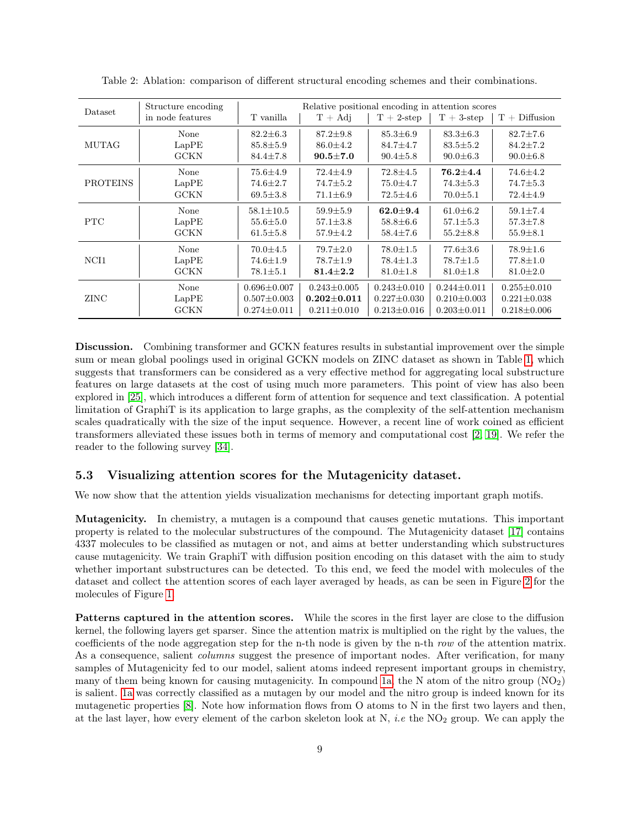| Dataset         | Structure encoding<br>in node features | T vanilla         | Relative positional encoding in attention scores<br>$T + Adj$ | $T + 2$ -step     | $T + 3$ -step     | $T + Diffusion$   |
|-----------------|----------------------------------------|-------------------|---------------------------------------------------------------|-------------------|-------------------|-------------------|
| <b>MUTAG</b>    | None                                   | $82.2 \pm 6.3$    | $87.2 \pm 9.8$                                                | $85.3 \pm 6.9$    | $83.3 \pm 6.3$    | $82.7 \pm 7.6$    |
|                 | LapPE                                  | $85.8 \pm 5.9$    | $86.0 + 4.2$                                                  | $84.7 + 4.7$      | $83.5 + 5.2$      | $84.2 + 7.2$      |
|                 | GCKN                                   | $84.4 \pm 7.8$    | $90.5 \pm 7.0$                                                | $90.4 \pm 5.8$    | $90.0 \pm 6.3$    | $90.0 \pm 6.8$    |
| <b>PROTEINS</b> | None                                   | $75.6{\pm}4.9$    | $72.4 \pm 4.9$                                                | $72.8 \pm 4.5$    | $76.2 + 4.4$      | $74.6 \pm 4.2$    |
|                 | LapPE                                  | $74.6 \pm 2.7$    | $74.7 \pm 5.2$                                                | $75.0 \pm 4.7$    | $74.3 \pm 5.3$    | $74.7 \pm 5.3$    |
|                 | GCKN                                   | $69.5 \pm 3.8$    | $71.1 \pm 6.9$                                                | $72.5 \pm 4.6$    | $70.0 \pm 5.1$    | $72.4 \pm 4.9$    |
| <b>PTC</b>      | None                                   | $58.1 \pm 10.5$   | $59.9 \pm 5.9$                                                | $62.0 + 9.4$      | $61.0 \pm 6.2$    | $59.1 \pm 7.4$    |
|                 | LapPE                                  | $55.6 \pm 5.0$    | $57.1 \pm 3.8$                                                | $58.8 \pm 6.6$    | $57.1 \pm 5.3$    | $57.3 \pm 7.8$    |
|                 | GCKN                                   | $61.5 \pm 5.8$    | $57.9 \pm 4.2$                                                | $58.4 \pm 7.6$    | $55.2 \pm 8.8$    | $55.9 \pm 8.1$    |
| NCI1            | None                                   | $70.0 \pm 4.5$    | $79.7 \pm 2.0$                                                | $78.0 \pm 1.5$    | $77.6 \pm 3.6$    | $78.9 \pm 1.6$    |
|                 | LapPE                                  | $74.6 \pm 1.9$    | $78.7 \pm 1.9$                                                | $78.4 \pm 1.3$    | $78.7 \pm 1.5$    | $77.8 \pm 1.0$    |
|                 | GCKN                                   | $78.1 \pm 5.1$    | $81.4 \pm 2.2$                                                | $81.0 \pm 1.8$    | $81.0 \pm 1.8$    | $81.0 \pm 2.0$    |
| ZINC            | None                                   | $0.696 \pm 0.007$ | $0.243 \pm 0.005$                                             | $0.243 \pm 0.010$ | $0.244 \pm 0.011$ | $0.255 \pm 0.010$ |
|                 | LapPE                                  | $0.507 \pm 0.003$ | $0.202 \pm 0.011$                                             | $0.227 \pm 0.030$ | $0.210 \pm 0.003$ | $0.221 \pm 0.038$ |
|                 | GCKN                                   | $0.274 \pm 0.011$ | $0.211 \pm 0.010$                                             | $0.213 \pm 0.016$ | $0.203 \pm 0.011$ | $0.218 \pm 0.006$ |

Table 2: Ablation: comparison of different structural encoding schemes and their combinations.

Discussion. Combining transformer and GCKN features results in substantial improvement over the simple sum or mean global poolings used in original GCKN models on ZINC dataset as shown in Table 1, which suggests that transformers can be considered as a very effective method for aggregating local substructure features on large datasets at the cost of using much more parameters. This point of view has also been explored in [25], which introduces a different form of attention for sequence and text classification. A potential limitation of GraphiT is its application to large graphs, as the complexity of the self-attention mechanism scales quadratically with the size of the input sequence. However, a recent line of work coined as efficient transformers alleviated these issues both in terms of memory and computational cost [2, 19]. We refer the reader to the following survey [34].

#### 5.3 Visualizing attention scores for the Mutagenicity dataset.

We now show that the attention yields visualization mechanisms for detecting important graph motifs.

Mutagenicity. In chemistry, a mutagen is a compound that causes genetic mutations. This important property is related to the molecular substructures of the compound. The Mutagenicity dataset [17] contains 4337 molecules to be classified as mutagen or not, and aims at better understanding which substructures cause mutagenicity. We train GraphiT with diffusion position encoding on this dataset with the aim to study whether important substructures can be detected. To this end, we feed the model with molecules of the dataset and collect the attention scores of each layer averaged by heads, as can be seen in Figure 2 for the molecules of Figure 1.

Patterns captured in the attention scores. While the scores in the first layer are close to the diffusion kernel, the following layers get sparser. Since the attention matrix is multiplied on the right by the values, the coefficients of the node aggregation step for the n-th node is given by the n-th row of the attention matrix. As a consequence, salient *columns* suggest the presence of important nodes. After verification, for many samples of Mutagenicity fed to our model, salient atoms indeed represent important groups in chemistry, many of them being known for causing mutagenicity. In compound 1a, the N atom of the nitro group  $(NO<sub>2</sub>)$ is salient. 1a was correctly classified as a mutagen by our model and the nitro group is indeed known for its mutagenetic properties [8]. Note how information flows from O atoms to N in the first two layers and then, at the last layer, how every element of the carbon skeleton look at N, *i.e* the  $NO<sub>2</sub>$  group. We can apply the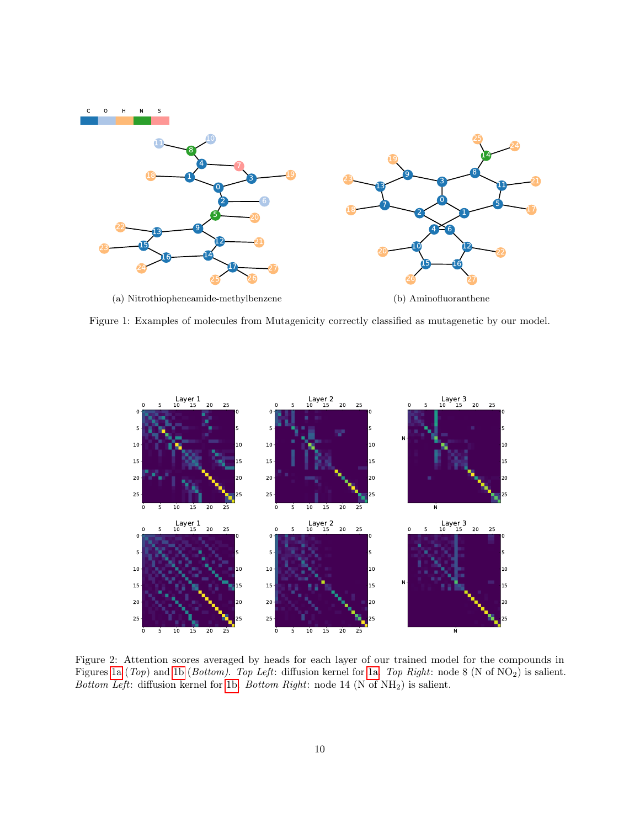

Figure 1: Examples of molecules from Mutagenicity correctly classified as mutagenetic by our model.



Figure 2: Attention scores averaged by heads for each layer of our trained model for the compounds in Figures 1a (Top) and 1b (Bottom). Top Left: diffusion kernel for 1a. Top Right: node 8 (N of NO2) is salient. Bottom Left: diffusion kernel for 1b. Bottom Right: node 14 (N of  $NH<sub>2</sub>$ ) is salient.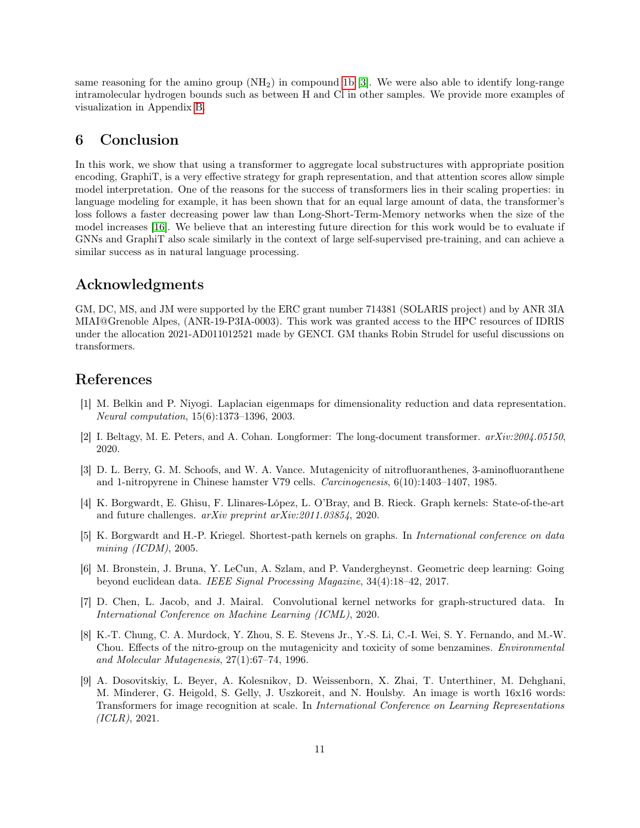same reasoning for the amino group  $(NH_2)$  in compound 1b [3]. We were also able to identify long-range intramolecular hydrogen bounds such as between H and Cl in other samples. We provide more examples of visualization in Appendix B.

# 6 Conclusion

In this work, we show that using a transformer to aggregate local substructures with appropriate position encoding, GraphiT, is a very effective strategy for graph representation, and that attention scores allow simple model interpretation. One of the reasons for the success of transformers lies in their scaling properties: in language modeling for example, it has been shown that for an equal large amount of data, the transformer's loss follows a faster decreasing power law than Long-Short-Term-Memory networks when the size of the model increases [16]. We believe that an interesting future direction for this work would be to evaluate if GNNs and GraphiT also scale similarly in the context of large self-supervised pre-training, and can achieve a similar success as in natural language processing.

# Acknowledgments

GM, DC, MS, and JM were supported by the ERC grant number 714381 (SOLARIS project) and by ANR 3IA MIAI@Grenoble Alpes, (ANR-19-P3IA-0003). This work was granted access to the HPC resources of IDRIS under the allocation 2021-AD011012521 made by GENCI. GM thanks Robin Strudel for useful discussions on transformers.

# References

- [1] M. Belkin and P. Niyogi. Laplacian eigenmaps for dimensionality reduction and data representation. Neural computation, 15(6):1373–1396, 2003.
- [2] I. Beltagy, M. E. Peters, and A. Cohan. Longformer: The long-document transformer. arXiv:2004.05150, 2020.
- [3] D. L. Berry, G. M. Schoofs, and W. A. Vance. Mutagenicity of nitrofluoranthenes, 3-aminofluoranthene and 1-nitropyrene in Chinese hamster V79 cells. Carcinogenesis, 6(10):1403–1407, 1985.
- [4] K. Borgwardt, E. Ghisu, F. Llinares-López, L. O'Bray, and B. Rieck. Graph kernels: State-of-the-art and future challenges. arXiv preprint arXiv:2011.03854, 2020.
- [5] K. Borgwardt and H.-P. Kriegel. Shortest-path kernels on graphs. In International conference on data mining  $(ICDM)$ , 2005.
- [6] M. Bronstein, J. Bruna, Y. LeCun, A. Szlam, and P. Vandergheynst. Geometric deep learning: Going beyond euclidean data. IEEE Signal Processing Magazine, 34(4):18–42, 2017.
- [7] D. Chen, L. Jacob, and J. Mairal. Convolutional kernel networks for graph-structured data. In International Conference on Machine Learning (ICML), 2020.
- [8] K.-T. Chung, C. A. Murdock, Y. Zhou, S. E. Stevens Jr., Y.-S. Li, C.-I. Wei, S. Y. Fernando, and M.-W. Chou. Effects of the nitro-group on the mutagenicity and toxicity of some benzamines. Environmental and Molecular Mutagenesis, 27(1):67–74, 1996.
- [9] A. Dosovitskiy, L. Beyer, A. Kolesnikov, D. Weissenborn, X. Zhai, T. Unterthiner, M. Dehghani, M. Minderer, G. Heigold, S. Gelly, J. Uszkoreit, and N. Houlsby. An image is worth 16x16 words: Transformers for image recognition at scale. In International Conference on Learning Representations (ICLR), 2021.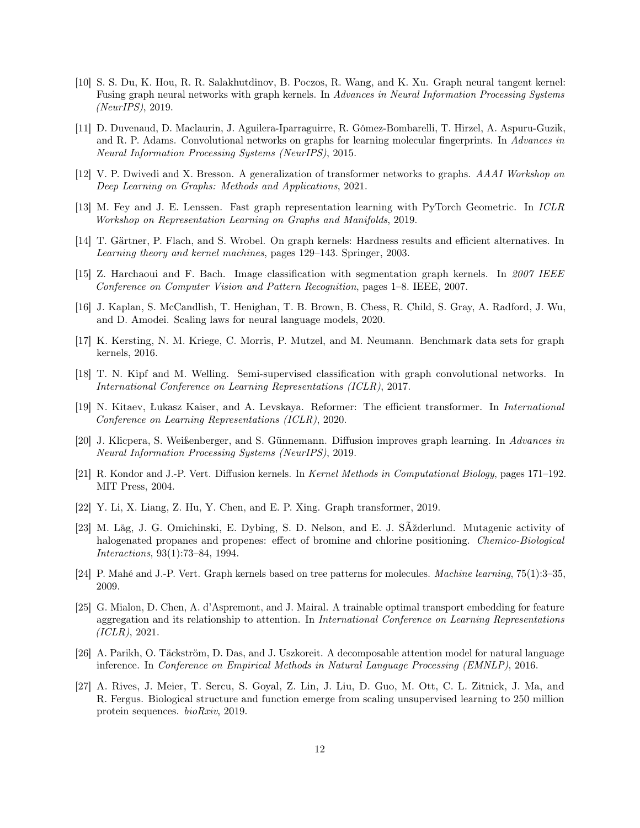- [10] S. S. Du, K. Hou, R. R. Salakhutdinov, B. Poczos, R. Wang, and K. Xu. Graph neural tangent kernel: Fusing graph neural networks with graph kernels. In Advances in Neural Information Processing Systems (NeurIPS), 2019.
- [11] D. Duvenaud, D. Maclaurin, J. Aguilera-Iparraguirre, R. Gómez-Bombarelli, T. Hirzel, A. Aspuru-Guzik, and R. P. Adams. Convolutional networks on graphs for learning molecular fingerprints. In Advances in Neural Information Processing Systems (NeurIPS), 2015.
- [12] V. P. Dwivedi and X. Bresson. A generalization of transformer networks to graphs. AAAI Workshop on Deep Learning on Graphs: Methods and Applications, 2021.
- [13] M. Fey and J. E. Lenssen. Fast graph representation learning with PyTorch Geometric. In ICLR Workshop on Representation Learning on Graphs and Manifolds, 2019.
- [14] T. Gärtner, P. Flach, and S. Wrobel. On graph kernels: Hardness results and efficient alternatives. In Learning theory and kernel machines, pages 129–143. Springer, 2003.
- [15] Z. Harchaoui and F. Bach. Image classification with segmentation graph kernels. In 2007 IEEE Conference on Computer Vision and Pattern Recognition, pages 1–8. IEEE, 2007.
- [16] J. Kaplan, S. McCandlish, T. Henighan, T. B. Brown, B. Chess, R. Child, S. Gray, A. Radford, J. Wu, and D. Amodei. Scaling laws for neural language models, 2020.
- [17] K. Kersting, N. M. Kriege, C. Morris, P. Mutzel, and M. Neumann. Benchmark data sets for graph kernels, 2016.
- [18] T. N. Kipf and M. Welling. Semi-supervised classification with graph convolutional networks. In International Conference on Learning Representations (ICLR), 2017.
- [19] N. Kitaev, Łukasz Kaiser, and A. Levskaya. Reformer: The efficient transformer. In International Conference on Learning Representations (ICLR), 2020.
- [20] J. Klicpera, S. Weißenberger, and S. Günnemann. Diffusion improves graph learning. In Advances in Neural Information Processing Systems (NeurIPS), 2019.
- [21] R. Kondor and J.-P. Vert. Diffusion kernels. In Kernel Methods in Computational Biology, pages 171–192. MIT Press, 2004.
- [22] Y. Li, X. Liang, Z. Hu, Y. Chen, and E. P. Xing. Graph transformer, 2019.
- [23] M. Låg, J. G. Omichinski, E. Dybing, S. D. Nelson, and E. J. SAžderlund. Mutagenic activity of halogenated propanes and propenes: effect of bromine and chlorine positioning. *Chemico-Biological* Interactions, 93(1):73–84, 1994.
- [24] P. Mahé and J.-P. Vert. Graph kernels based on tree patterns for molecules. Machine learning, 75(1):3–35, 2009.
- [25] G. Mialon, D. Chen, A. d'Aspremont, and J. Mairal. A trainable optimal transport embedding for feature aggregation and its relationship to attention. In International Conference on Learning Representations (ICLR), 2021.
- [26] A. Parikh, O. Täckström, D. Das, and J. Uszkoreit. A decomposable attention model for natural language inference. In Conference on Empirical Methods in Natural Language Processing (EMNLP), 2016.
- [27] A. Rives, J. Meier, T. Sercu, S. Goyal, Z. Lin, J. Liu, D. Guo, M. Ott, C. L. Zitnick, J. Ma, and R. Fergus. Biological structure and function emerge from scaling unsupervised learning to 250 million protein sequences. bioRxiv, 2019.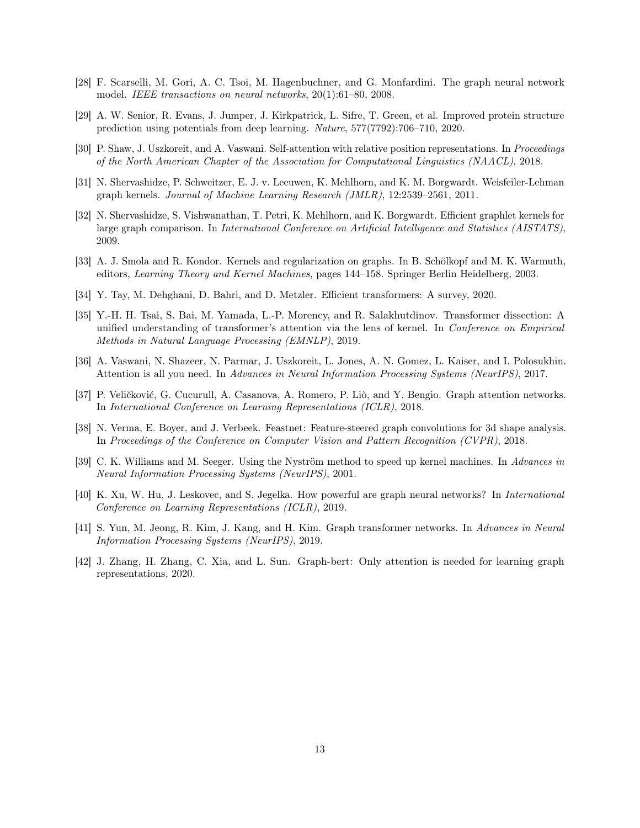- [28] F. Scarselli, M. Gori, A. C. Tsoi, M. Hagenbuchner, and G. Monfardini. The graph neural network model. IEEE transactions on neural networks, 20(1):61–80, 2008.
- [29] A. W. Senior, R. Evans, J. Jumper, J. Kirkpatrick, L. Sifre, T. Green, et al. Improved protein structure prediction using potentials from deep learning. Nature, 577(7792):706–710, 2020.
- [30] P. Shaw, J. Uszkoreit, and A. Vaswani. Self-attention with relative position representations. In Proceedings of the North American Chapter of the Association for Computational Linguistics (NAACL), 2018.
- [31] N. Shervashidze, P. Schweitzer, E. J. v. Leeuwen, K. Mehlhorn, and K. M. Borgwardt. Weisfeiler-Lehman graph kernels. Journal of Machine Learning Research (JMLR), 12:2539–2561, 2011.
- [32] N. Shervashidze, S. Vishwanathan, T. Petri, K. Mehlhorn, and K. Borgwardt. Efficient graphlet kernels for large graph comparison. In International Conference on Artificial Intelligence and Statistics (AISTATS), 2009.
- [33] A. J. Smola and R. Kondor. Kernels and regularization on graphs. In B. Schölkopf and M. K. Warmuth, editors, Learning Theory and Kernel Machines, pages 144–158. Springer Berlin Heidelberg, 2003.
- [34] Y. Tay, M. Dehghani, D. Bahri, and D. Metzler. Efficient transformers: A survey, 2020.
- [35] Y.-H. H. Tsai, S. Bai, M. Yamada, L.-P. Morency, and R. Salakhutdinov. Transformer dissection: A unified understanding of transformer's attention via the lens of kernel. In Conference on Empirical Methods in Natural Language Processing (EMNLP), 2019.
- [36] A. Vaswani, N. Shazeer, N. Parmar, J. Uszkoreit, L. Jones, A. N. Gomez, L. Kaiser, and I. Polosukhin. Attention is all you need. In Advances in Neural Information Processing Systems (NeurIPS), 2017.
- [37] P. Veličković, G. Cucurull, A. Casanova, A. Romero, P. Liò, and Y. Bengio. Graph attention networks. In International Conference on Learning Representations (ICLR), 2018.
- [38] N. Verma, E. Boyer, and J. Verbeek. Feastnet: Feature-steered graph convolutions for 3d shape analysis. In Proceedings of the Conference on Computer Vision and Pattern Recognition (CVPR), 2018.
- [39] C. K. Williams and M. Seeger. Using the Nyström method to speed up kernel machines. In Advances in Neural Information Processing Systems (NeurIPS), 2001.
- [40] K. Xu, W. Hu, J. Leskovec, and S. Jegelka. How powerful are graph neural networks? In International Conference on Learning Representations (ICLR), 2019.
- [41] S. Yun, M. Jeong, R. Kim, J. Kang, and H. Kim. Graph transformer networks. In Advances in Neural Information Processing Systems (NeurIPS), 2019.
- [42] J. Zhang, H. Zhang, C. Xia, and L. Sun. Graph-bert: Only attention is needed for learning graph representations, 2020.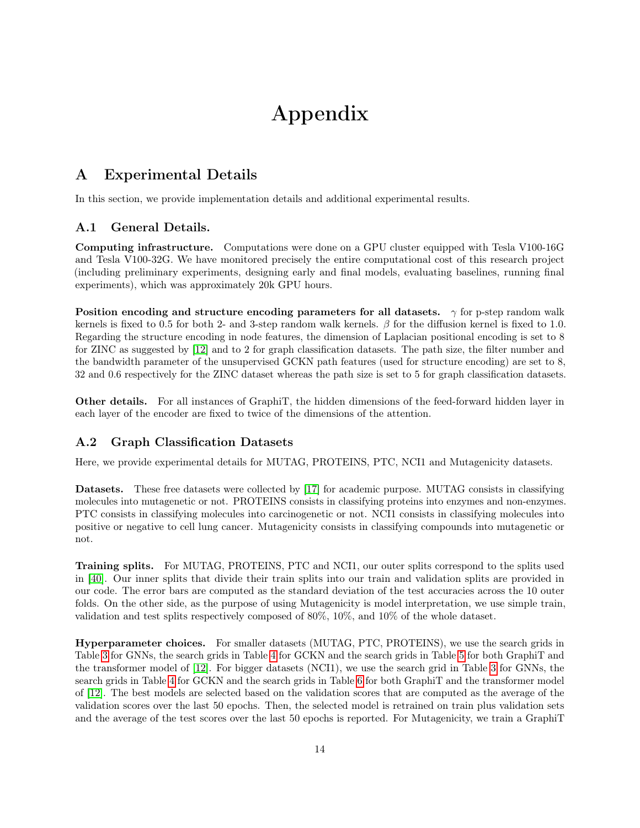# Appendix

# A Experimental Details

In this section, we provide implementation details and additional experimental results.

## A.1 General Details.

Computing infrastructure. Computations were done on a GPU cluster equipped with Tesla V100-16G and Tesla V100-32G. We have monitored precisely the entire computational cost of this research project (including preliminary experiments, designing early and final models, evaluating baselines, running final experiments), which was approximately 20k GPU hours.

Position encoding and structure encoding parameters for all datasets.  $\gamma$  for p-step random walk kernels is fixed to 0.5 for both 2- and 3-step random walk kernels.  $\beta$  for the diffusion kernel is fixed to 1.0. Regarding the structure encoding in node features, the dimension of Laplacian positional encoding is set to 8 for ZINC as suggested by [12] and to 2 for graph classification datasets. The path size, the filter number and the bandwidth parameter of the unsupervised GCKN path features (used for structure encoding) are set to 8, 32 and 0.6 respectively for the ZINC dataset whereas the path size is set to 5 for graph classification datasets.

Other details. For all instances of GraphiT, the hidden dimensions of the feed-forward hidden layer in each layer of the encoder are fixed to twice of the dimensions of the attention.

# A.2 Graph Classification Datasets

Here, we provide experimental details for MUTAG, PROTEINS, PTC, NCI1 and Mutagenicity datasets.

Datasets. These free datasets were collected by [17] for academic purpose. MUTAG consists in classifying molecules into mutagenetic or not. PROTEINS consists in classifying proteins into enzymes and non-enzymes. PTC consists in classifying molecules into carcinogenetic or not. NCI1 consists in classifying molecules into positive or negative to cell lung cancer. Mutagenicity consists in classifying compounds into mutagenetic or not.

Training splits. For MUTAG, PROTEINS, PTC and NCI1, our outer splits correspond to the splits used in [40]. Our inner splits that divide their train splits into our train and validation splits are provided in our code. The error bars are computed as the standard deviation of the test accuracies across the 10 outer folds. On the other side, as the purpose of using Mutagenicity is model interpretation, we use simple train, validation and test splits respectively composed of 80%, 10%, and 10% of the whole dataset.

Hyperparameter choices. For smaller datasets (MUTAG, PTC, PROTEINS), we use the search grids in Table 3 for GNNs, the search grids in Table 4 for GCKN and the search grids in Table 5 for both GraphiT and the transformer model of [12]. For bigger datasets (NCI1), we use the search grid in Table 3 for GNNs, the search grids in Table 4 for GCKN and the search grids in Table 6 for both GraphiT and the transformer model of [12]. The best models are selected based on the validation scores that are computed as the average of the validation scores over the last 50 epochs. Then, the selected model is retrained on train plus validation sets and the average of the test scores over the last 50 epochs is reported. For Mutagenicity, we train a GraphiT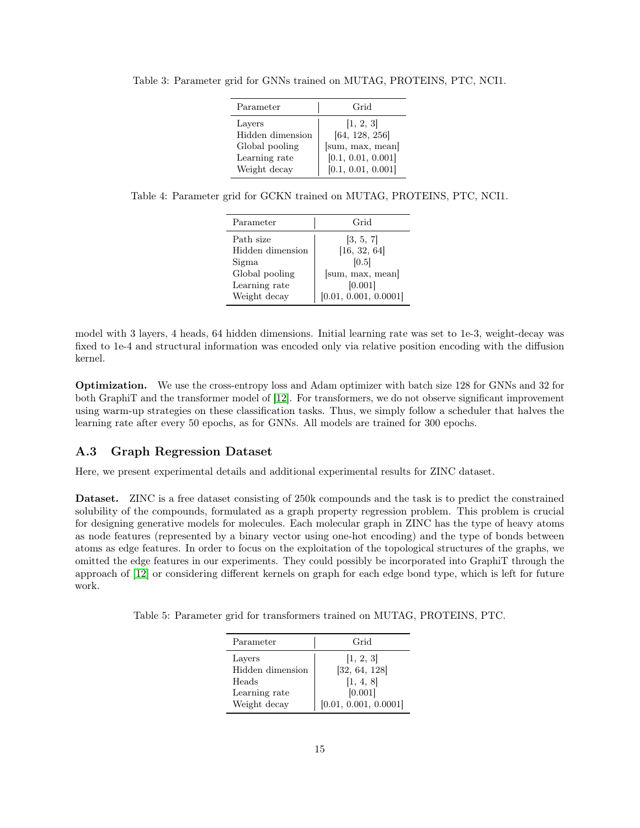| Parameter        | Grid               |
|------------------|--------------------|
| Layers           | [1, 2, 3]          |
| Hidden dimension | [64, 128, 256]     |
| Global pooling   | [sum, max, mean]   |
| Learning rate    | [0.1, 0.01, 0.001] |
| Weight decay     | [0.1, 0.01, 0.001] |

Table 3: Parameter grid for GNNs trained on MUTAG, PROTEINS, PTC, NCI1.

|  |  |  | Table 4: Parameter grid for GCKN trained on MUTAG, PROTEINS, PTC, NCI1. |  |
|--|--|--|-------------------------------------------------------------------------|--|
|  |  |  |                                                                         |  |

| Parameter        | Grid                  |
|------------------|-----------------------|
| Path size        | [3, 5, 7]             |
| Hidden dimension | [16, 32, 64]          |
| Sigma            | [0.5]                 |
| Global pooling   | [sum, max, mean]      |
| Learning rate    | [0.001]               |
| Weight decay     | [0.01, 0.001, 0.0001] |

model with 3 layers, 4 heads, 64 hidden dimensions. Initial learning rate was set to 1e-3, weight-decay was fixed to 1e-4 and structural information was encoded only via relative position encoding with the diffusion kernel.

Optimization. We use the cross-entropy loss and Adam optimizer with batch size 128 for GNNs and 32 for both GraphiT and the transformer model of [12]. For transformers, we do not observe significant improvement using warm-up strategies on these classification tasks. Thus, we simply follow a scheduler that halves the learning rate after every 50 epochs, as for GNNs. All models are trained for 300 epochs.

## A.3 Graph Regression Dataset

Here, we present experimental details and additional experimental results for ZINC dataset.

Dataset. ZINC is a free dataset consisting of 250k compounds and the task is to predict the constrained solubility of the compounds, formulated as a graph property regression problem. This problem is crucial for designing generative models for molecules. Each molecular graph in ZINC has the type of heavy atoms as node features (represented by a binary vector using one-hot encoding) and the type of bonds between atoms as edge features. In order to focus on the exploitation of the topological structures of the graphs, we omitted the edge features in our experiments. They could possibly be incorporated into GraphiT through the approach of [12] or considering different kernels on graph for each edge bond type, which is left for future work.

|  |  |  | Table 5: Parameter grid for transformers trained on MUTAG, PROTEINS, PTC. |  |
|--|--|--|---------------------------------------------------------------------------|--|
|  |  |  |                                                                           |  |

| Parameter        | Grid                  |
|------------------|-----------------------|
| Layers           | [1, 2, 3]             |
| Hidden dimension | [32, 64, 128]         |
| Heads            | [1, 4, 8]             |
| Learning rate    | [0.001]               |
| Weight decay     | [0.01, 0.001, 0.0001] |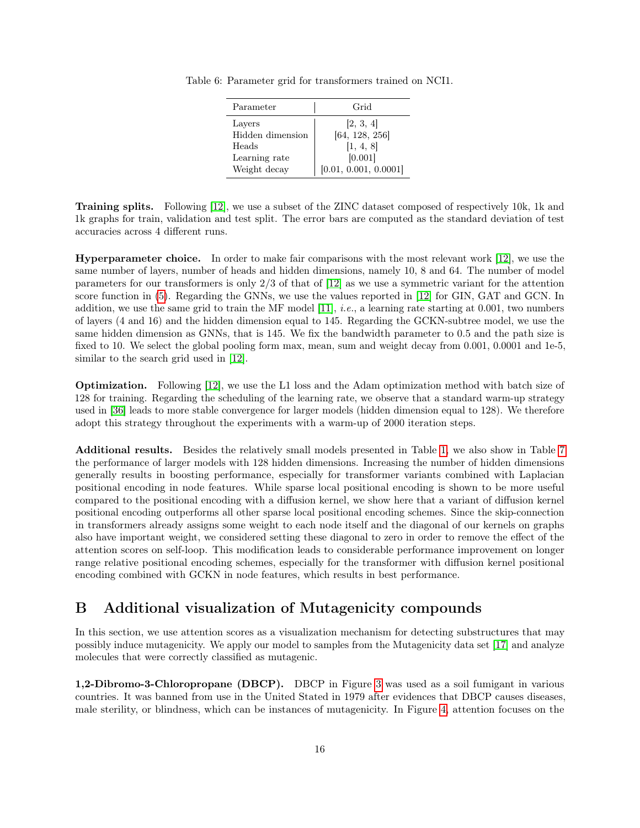| Parameter        | Grid                  |
|------------------|-----------------------|
| Layers           | [2, 3, 4]             |
| Hidden dimension | [64, 128, 256]        |
| Heads            | [1, 4, 8]             |
| Learning rate    | [0.001]               |
| Weight decay     | [0.01, 0.001, 0.0001] |

Table 6: Parameter grid for transformers trained on NCI1.

Training splits. Following [12], we use a subset of the ZINC dataset composed of respectively 10k, 1k and 1k graphs for train, validation and test split. The error bars are computed as the standard deviation of test accuracies across 4 different runs.

Hyperparameter choice. In order to make fair comparisons with the most relevant work [12], we use the same number of layers, number of heads and hidden dimensions, namely 10, 8 and 64. The number of model parameters for our transformers is only 2/3 of that of [12] as we use a symmetric variant for the attention score function in (5). Regarding the GNNs, we use the values reported in [12] for GIN, GAT and GCN. In addition, we use the same grid to train the MF model [11], *i.e.*, a learning rate starting at 0.001, two numbers of layers (4 and 16) and the hidden dimension equal to 145. Regarding the GCKN-subtree model, we use the same hidden dimension as GNNs, that is 145. We fix the bandwidth parameter to 0.5 and the path size is fixed to 10. We select the global pooling form max, mean, sum and weight decay from 0.001, 0.0001 and 1e-5, similar to the search grid used in [12].

Optimization. Following [12], we use the L1 loss and the Adam optimization method with batch size of 128 for training. Regarding the scheduling of the learning rate, we observe that a standard warm-up strategy used in [36] leads to more stable convergence for larger models (hidden dimension equal to 128). We therefore adopt this strategy throughout the experiments with a warm-up of 2000 iteration steps.

Additional results. Besides the relatively small models presented in Table 1, we also show in Table 7 the performance of larger models with 128 hidden dimensions. Increasing the number of hidden dimensions generally results in boosting performance, especially for transformer variants combined with Laplacian positional encoding in node features. While sparse local positional encoding is shown to be more useful compared to the positional encoding with a diffusion kernel, we show here that a variant of diffusion kernel positional encoding outperforms all other sparse local positional encoding schemes. Since the skip-connection in transformers already assigns some weight to each node itself and the diagonal of our kernels on graphs also have important weight, we considered setting these diagonal to zero in order to remove the effect of the attention scores on self-loop. This modification leads to considerable performance improvement on longer range relative positional encoding schemes, especially for the transformer with diffusion kernel positional encoding combined with GCKN in node features, which results in best performance.

# B Additional visualization of Mutagenicity compounds

In this section, we use attention scores as a visualization mechanism for detecting substructures that may possibly induce mutagenicity. We apply our model to samples from the Mutagenicity data set [17] and analyze molecules that were correctly classified as mutagenic.

1,2-Dibromo-3-Chloropropane (DBCP). DBCP in Figure 3 was used as a soil fumigant in various countries. It was banned from use in the United Stated in 1979 after evidences that DBCP causes diseases, male sterility, or blindness, which can be instances of mutagenicity. In Figure 4, attention focuses on the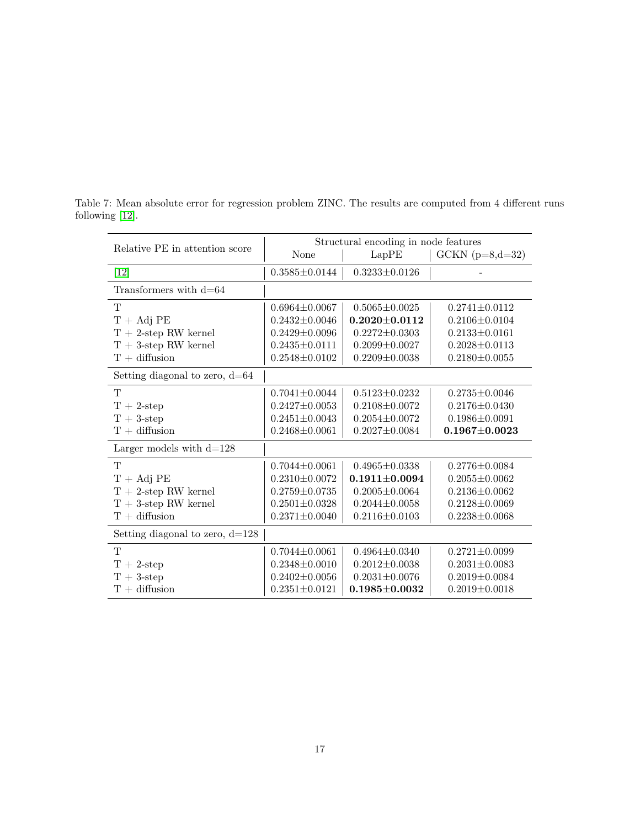| Relative PE in attention score    | Structural encoding in node features |                     |                     |  |  |
|-----------------------------------|--------------------------------------|---------------------|---------------------|--|--|
|                                   | None                                 | LapPE               | $GCKN (p=8,d=32)$   |  |  |
| $[12]$                            | $0.3585 \pm 0.0144$                  | $0.3233 \pm 0.0126$ |                     |  |  |
| Transformers with $d=64$          |                                      |                     |                     |  |  |
| T                                 | $0.6964 \pm 0.0067$                  | $0.5065 \pm 0.0025$ | $0.2741 \pm 0.0112$ |  |  |
| $T + Adj PE$                      | $0.2432 \pm 0.0046$                  | $0.2020 + 0.0112$   | $0.2106 \pm 0.0104$ |  |  |
| $T + 2$ -step RW kernel           | $0.2429 \pm 0.0096$                  | $0.2272 \pm 0.0303$ | $0.2133 \pm 0.0161$ |  |  |
| $T + 3$ -step RW kernel           | $0.2435 \pm 0.0111$                  | $0.2099 \pm 0.0027$ | $0.2028 \pm 0.0113$ |  |  |
| $T +$ diffusion                   | $0.2548 \pm 0.0102$                  | $0.2209 \pm 0.0038$ | $0.2180 \pm 0.0055$ |  |  |
| Setting diagonal to zero, $d=64$  |                                      |                     |                     |  |  |
| T                                 | $0.7041 \pm 0.0044$                  | $0.5123 + 0.0232$   | $0.2735 \pm 0.0046$ |  |  |
| $T + 2$ -step                     | $0.2427 \pm 0.0053$                  | $0.2108 \pm 0.0072$ | $0.2176 \pm 0.0430$ |  |  |
| $T + 3$ -step                     | $0.2451 \pm 0.0043$                  | $0.2054 \pm 0.0072$ | $0.1986 \pm 0.0091$ |  |  |
| $T + diffusion$                   | $0.2468 \pm 0.0061$                  | $0.2027 \pm 0.0084$ | $0.1967 \pm 0.0023$ |  |  |
| Larger models with $d=128$        |                                      |                     |                     |  |  |
| T                                 | $0.7044 \pm 0.0061$                  | $0.4965 + 0.0338$   | $0.2776 \pm 0.0084$ |  |  |
| $T + Adj PE$                      | $0.2310 \pm 0.0072$                  | $0.1911 \pm 0.0094$ | $0.2055 \pm 0.0062$ |  |  |
| $T + 2$ -step RW kernel           | $0.2759 \pm 0.0735$                  | $0.2005 \pm 0.0064$ | $0.2136 \pm 0.0062$ |  |  |
| $T + 3$ -step RW kernel           | $0.2501 \pm 0.0328$                  | $0.2044 \pm 0.0058$ | $0.2128 \pm 0.0069$ |  |  |
| $T +$ diffusion                   | $0.2371 \pm 0.0040$                  | $0.2116 \pm 0.0103$ | $0.2238 \pm 0.0068$ |  |  |
| Setting diagonal to zero, $d=128$ |                                      |                     |                     |  |  |
| T                                 | $0.7044 \pm 0.0061$                  | $0.4964 \pm 0.0340$ | $0.2721 \pm 0.0099$ |  |  |
| $T + 2$ -step                     | $0.2348 \pm 0.0010$                  | $0.2012 \pm 0.0038$ | $0.2031 \pm 0.0083$ |  |  |
| $T + 3$ -step                     | $0.2402 \pm 0.0056$                  | $0.2031 \pm 0.0076$ | $0.2019 \pm 0.0084$ |  |  |
| $T +$ diffusion                   | $0.2351 \pm 0.0121$                  | $0.1985 \pm 0.0032$ | $0.2019 \pm 0.0018$ |  |  |

Table 7: Mean absolute error for regression problem ZINC. The results are computed from 4 different runs following [12].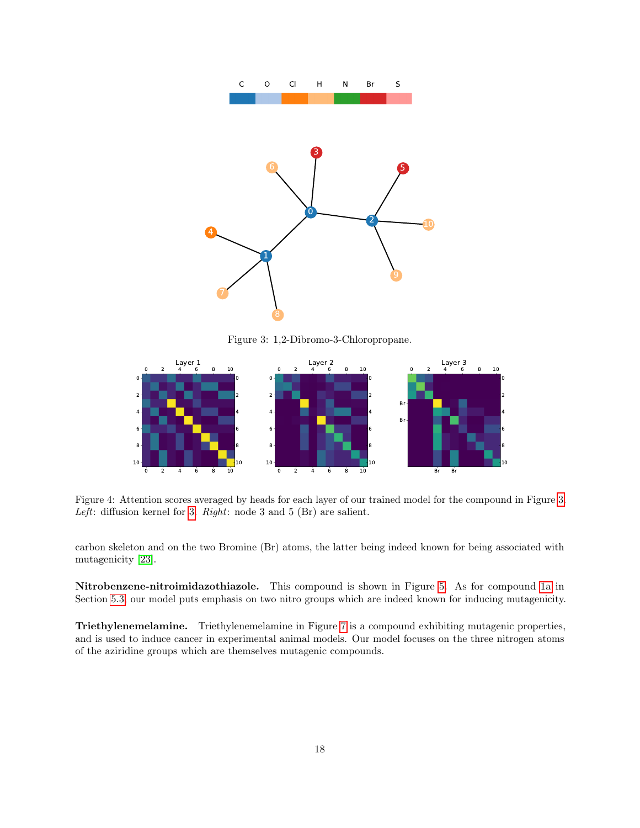

Figure 3: 1,2-Dibromo-3-Chloropropane.



Figure 4: Attention scores averaged by heads for each layer of our trained model for the compound in Figure 3. Left: diffusion kernel for 3.  $Right:$  node 3 and 5 (Br) are salient.

carbon skeleton and on the two Bromine (Br) atoms, the latter being indeed known for being associated with mutagenicity [23].

Nitrobenzene-nitroimidazothiazole. This compound is shown in Figure 5. As for compound 1a in Section 5.3, our model puts emphasis on two nitro groups which are indeed known for inducing mutagenicity.

Triethylenemelamine. Triethylenemelamine in Figure 7 is a compound exhibiting mutagenic properties, and is used to induce cancer in experimental animal models. Our model focuses on the three nitrogen atoms of the aziridine groups which are themselves mutagenic compounds.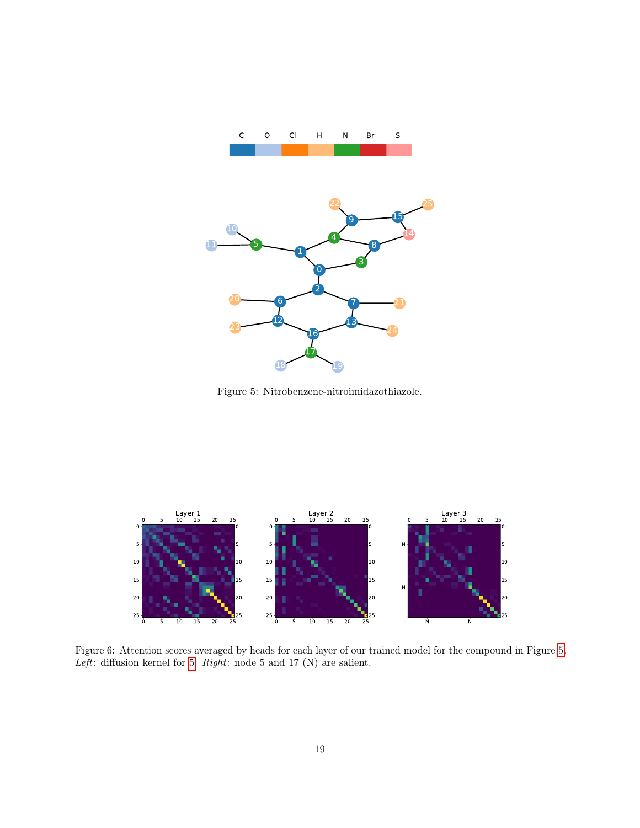

Figure 5: Nitrobenzene-nitroimidazothiazole.



Figure 6: Attention scores averaged by heads for each layer of our trained model for the compound in Figure 5.  $Left:$  diffusion kernel for 5.  $Right:$  node 5 and 17  $(\mathbf{N})$  are salient.